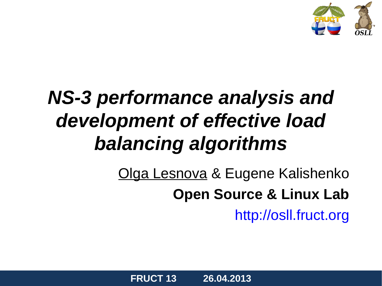

### *NS-3 performance analysis and development of effective load balancing algorithms*

Olga Lesnova & Eugene Kalishenko **Open Source & Linux Lab** [http://osll.fruct.org](http://osll.fruct.org/)

**FRUCT 13 26.04.2013**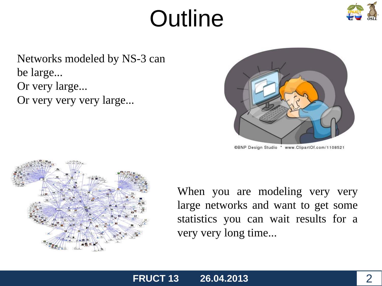## **Outline**



Networks modeled by NS-3 can be large... Or very large... Or very very very large...



@BNP Design Studio \* www.ClipartOf.com/1108521



When you are modeling very very large networks and want to get some statistics you can wait results for a very very long time...

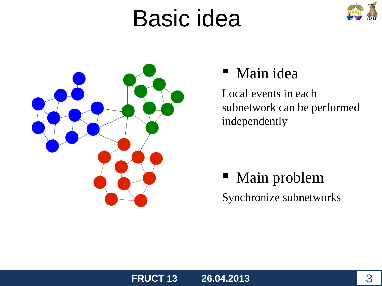## Basic idea





#### Main idea

Local events in each subnetwork can be performed independently

### Main problem Synchronize subnetworks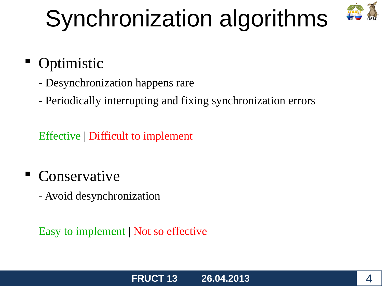# Synchronization algorithms



### **Optimistic**

- Desynchronization happens rare
- Periodically interrupting and fixing synchronization errors

Effective | Difficult to implement

Conservative

- Avoid desynchronization

Easy to implement | Not so effective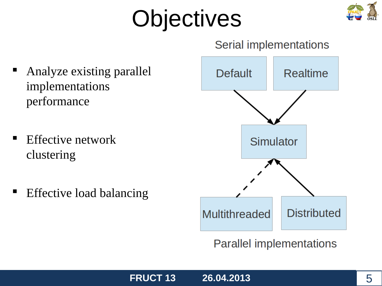# **Objectives**



#### Serial implementations

- Analyze existing parallel implementations performance
- Effective network clustering
- Effective load balancing



**Parallel implementations** 

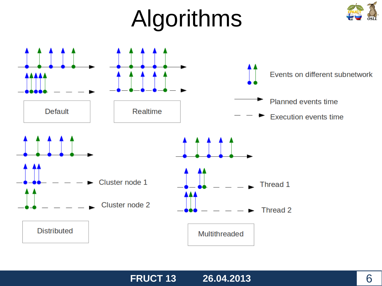# Algorithms





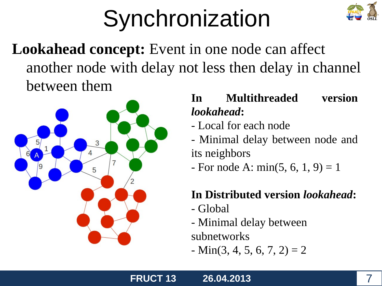# **Synchronization**



**Lookahead concept:** Event in one node can affect another node with delay not less then delay in channel between them



#### **In Multithreaded version**  *lookahead***:**

- Local for each node
- Minimal delay between node and its neighbors
- $-$  For node A: min(5, 6, 1, 9) = 1

#### **In Distributed version** *lookahead***:**

- Global
- Minimal delay between subnetworks
- $-Min(3, 4, 5, 6, 7, 2) = 2$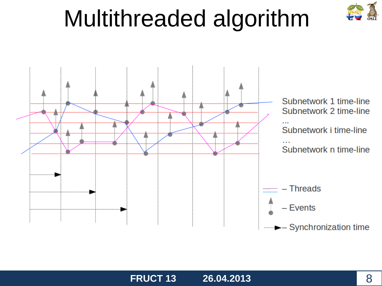## Multithreaded algorithm

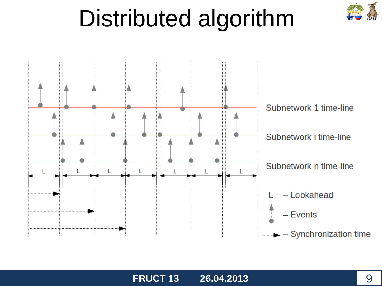## Distributed algorithm

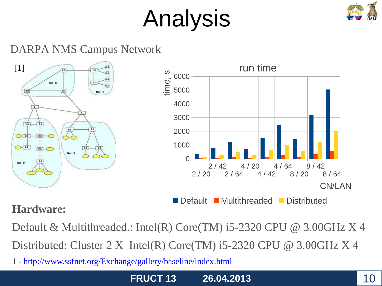# Analysis



#### DARPA NMS Campus Network



#### **Hardware:**

Default & Multithreaded.: Intel(R) Core(TM) i5-2320 CPU @ 3.00GHz X 4 Distributed: Cluster 2 X Intel(R) Core(TM) i5-2320 CPU  $\omega$  3.00GHz X 4

1 - http://www.ssfnet.org/Exchange/gallery/baseline/index.html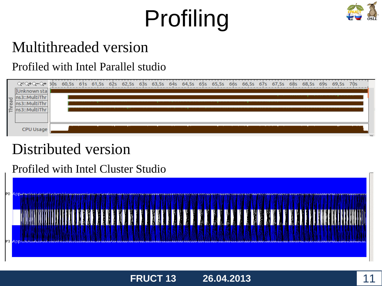# Profiling



### Multithreaded version

#### Profiled with Intel Parallel studio



#### Distributed version

#### Profiled with Intel Cluster Studio

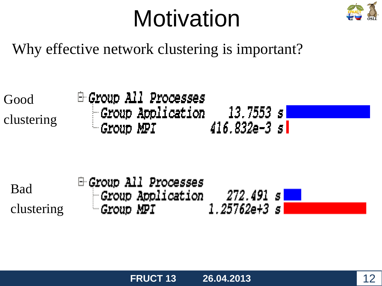## **Motivation**



Why effective network clustering is important?

Good clustering Group All Processes  $\blacksquare$  Group Application  $=$  13.7553 s $\blacksquare$  $-$  Group MPI  $416.832$ e- $3s$  i

Bad clustering **E-Group All Processes** *Group Application* 272.491 s  $1.25762$ e+3 s $\vert$  $\sim$  Group MPI  $\sim$ 

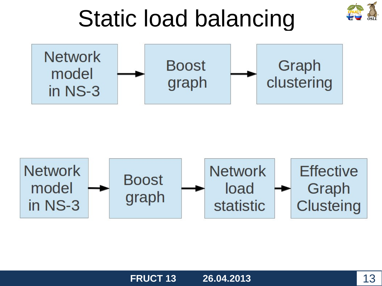





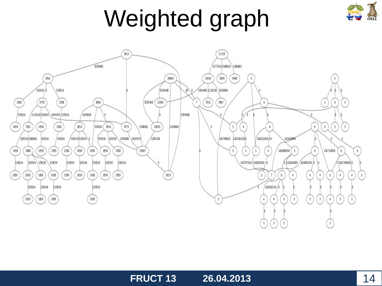# Weighted graph



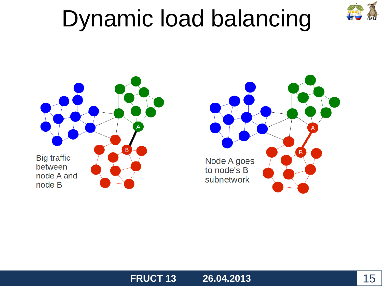## Dynamic load balancing







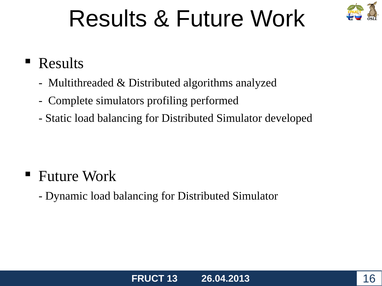## Results & Future Work



### **Results**

- Multithreaded & Distributed algorithms analyzed
- Complete simulators profiling performed
- Static load balancing for Distributed Simulator developed

- Future Work
	- Dynamic load balancing for Distributed Simulator